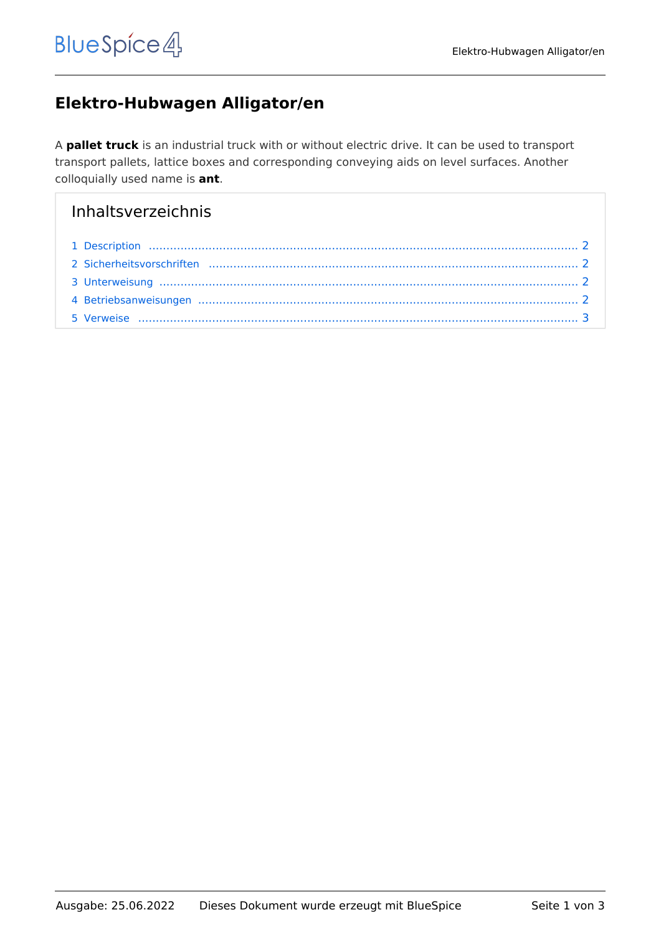# **Elektro-Hubwagen Alligator/en**

A **pallet truck** is an industrial truck with or without electric drive. It can be used to transport transport pallets, lattice boxes and corresponding conveying aids on level surfaces. Another colloquially used name is **ant**.

# Inhaltsverzeichnis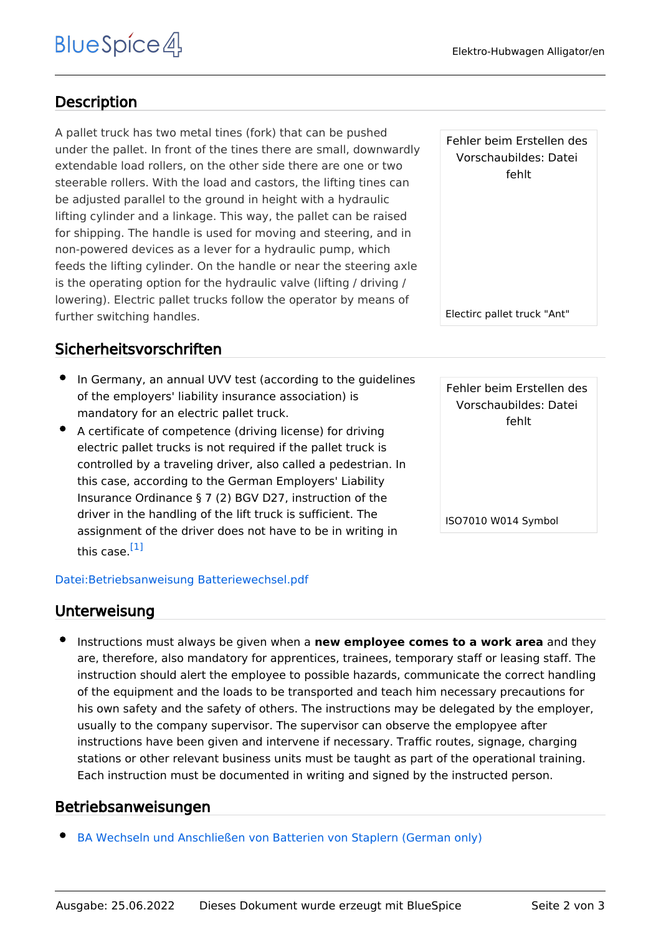# <span id="page-1-0"></span>**Description**

A pallet truck has two metal tines (fork) that can be pushed under the pallet. In front of the tines there are small, downwardly extendable load rollers, on the other side there are one or two steerable rollers. With the load and castors, the lifting tines can be adjusted parallel to the ground in height with a hydraulic lifting cylinder and a linkage. This way, the pallet can be raised for shipping. The handle is used for moving and steering, and in non-powered devices as a lever for a hydraulic pump, which feeds the lifting cylinder. On the handle or near the steering axle is the operating option for the hydraulic valve (lifting / driving / lowering). Electric pallet trucks follow the operator by means of further switching handles.

## <span id="page-1-1"></span>Sicherheitsvorschriften

- In Germany, an annual UVV test (according to the guidelines of the employers' liability insurance association) is mandatory for an electric pallet truck.
- A certificate of competence (driving license) for driving electric pallet trucks is not required if the pallet truck is controlled by a traveling driver, also called a pedestrian. In this case, according to the German Employers' Liability Insurance Ordinance § 7 (2) BGV D27, instruction of the driver in the handling of the lift truck is sufficient. The assignment of the driver does not have to be in writing in this case.<sup>[\[1\]](#page-2-1)</sup>

#### <span id="page-1-4"></span>[Datei:Betriebsanweisung Batteriewechsel.pdf](https://de.demo.bluespice.com/wiki/Datei:Betriebsanweisung_Batteriewechsel.pdf)

### <span id="page-1-2"></span>Unterweisung

Instructions must always be given when a **new employee comes to a work area** and they are, therefore, also mandatory for apprentices, trainees, temporary staff or leasing staff. The instruction should alert the employee to possible hazards, communicate the correct handling of the equipment and the loads to be transported and teach him necessary precautions for his own safety and the safety of others. The instructions may be delegated by the employer, usually to the company supervisor. The supervisor can observe the emplopyee after instructions have been given and intervene if necessary. Traffic routes, signage, charging stations or other relevant business units must be taught as part of the operational training. Each instruction must be documented in writing and signed by the instructed person.

## <span id="page-1-3"></span>Betriebsanweisungen

[BA Wechseln und Anschließen von Batterien von Staplern \(German only\)](https://de.demo.bluespice.com/w/nsfr_img_auth.php/5/5a/Betriebsanweisung_Batteriewechsel.pdf)

Fehler beim Erstellen des Vorschaubildes: Datei fehlt

Electirc pallet truck "Ant"

Fehler beim Erstellen des Vorschaubildes: Datei fehlt

ISO7010 W014 Symbol